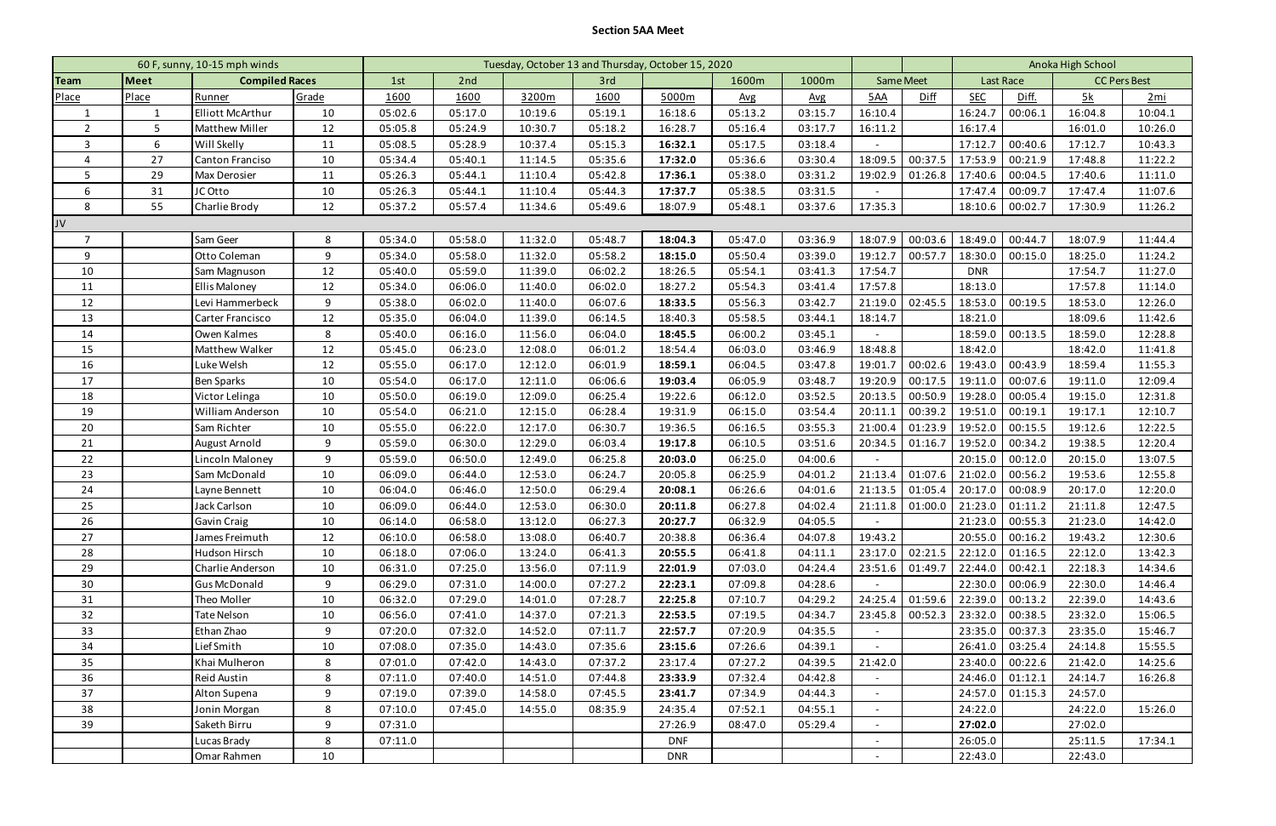## **Section 5AA Meet**

| 60 F, sunny, 10-15 mph winds |                               |                         | Tuesday, October 13 and Thursday, October 15, 2020 |                   |         |         |         |                |              |         |                          | Anoka High School |                   |         |                     |         |
|------------------------------|-------------------------------|-------------------------|----------------------------------------------------|-------------------|---------|---------|---------|----------------|--------------|---------|--------------------------|-------------------|-------------------|---------|---------------------|---------|
| Team                         | Meet<br><b>Compiled Races</b> |                         |                                                    | 2nd<br>3rd<br>1st |         |         |         | 1600m<br>1000m |              |         | <b>Same Meet</b>         |                   | Last Race         |         | <b>CC Pers Best</b> |         |
| Place                        | Place                         | Runner                  | Grade                                              | 1600              | 1600    | 3200m   | 1600    | 5000m          | $\Delta v$ g | Avg     | 5AA                      | Diff              | <b>SEC</b>        | Diff.   | <u>5k</u>           | 2mi     |
|                              |                               | <b>Elliott McArthur</b> | 10                                                 | 05:02.6           | 05:17.0 | 10:19.6 | 05:19.1 | 16:18.6        | 05:13.2      | 03:15.7 | 16:10.4                  |                   | 16:24.7           | 00:06.1 | 16:04.8             | 10:04.1 |
| $\overline{2}$               | 5                             | <b>Matthew Miller</b>   | 12                                                 | 05:05.8           | 05:24.9 | 10:30.7 | 05:18.2 | 16:28.7        | 05:16.4      | 03:17.7 | 16:11.2                  |                   | 16:17.4           |         | 16:01.0             | 10:26.0 |
| 3                            | 6                             | Will Skelly             | 11                                                 | 05:08.5           | 05:28.9 | 10:37.4 | 05:15.3 | 16:32.1        | 05:17.5      | 03:18.4 | $\overline{\phantom{a}}$ |                   | 17:12.7           | 00:40.6 | 17:12.7             | 10:43.3 |
| $\overline{4}$               | 27                            | <b>Canton Franciso</b>  | 10                                                 | 05:34.4           | 05:40.1 | 11:14.5 | 05:35.6 | 17:32.0        | 05:36.6      | 03:30.4 | 18:09.5                  | 00:37.5           | 17:53.9           | 00:21.9 | 17:48.8             | 11:22.2 |
| 5                            | 29                            | Max Derosier            | 11                                                 | 05:26.3           | 05:44.1 | 11:10.4 | 05:42.8 | 17:36.1        | 05:38.0      | 03:31.2 | 19:02.9                  | 01:26.8           | 17:40.6           | 00:04.5 | 17:40.6             | 11:11.0 |
| 6                            | 31                            | JC Otto                 | 10                                                 | 05:26.3           | 05:44.1 | 11:10.4 | 05:44.3 | 17:37.7        | 05:38.5      | 03:31.5 |                          |                   | 17:47.4           | 00:09.7 | 17:47.4             | 11:07.6 |
| 8                            | 55                            | Charlie Brody           | 12                                                 | 05:37.2           | 05:57.4 | 11:34.6 | 05:49.6 | 18:07.9        | 05:48.1      | 03:37.6 | 17:35.3                  |                   | 18:10.6           | 00:02.7 | 17:30.9             | 11:26.2 |
| JV                           |                               |                         |                                                    |                   |         |         |         |                |              |         |                          |                   |                   |         |                     |         |
| $\overline{7}$               |                               | Sam Geer                | 8                                                  | 05:34.0           | 05:58.0 | 11:32.0 | 05:48.7 | 18:04.3        | 05:47.0      | 03:36.9 | 18:07.9                  | 00:03.6           | 18:49.0           | 00:44.7 | 18:07.9             | 11:44.4 |
| 9                            |                               | Otto Coleman            | 9                                                  | 05:34.0           | 05:58.0 | 11:32.0 | 05:58.2 | 18:15.0        | 05:50.4      | 03:39.0 | 19:12.7                  | 00:57.7           | 18:30.0           | 00:15.0 | 18:25.0             | 11:24.2 |
| 10                           |                               | Sam Magnuson            | 12                                                 | 05:40.0           | 05:59.0 | 11:39.0 | 06:02.2 | 18:26.5        | 05:54.1      | 03:41.3 | 17:54.7                  |                   | <b>DNR</b>        |         | 17:54.7             | 11:27.0 |
| 11                           |                               | <b>Ellis Maloney</b>    | 12                                                 | 05:34.0           | 06:06.0 | 11:40.0 | 06:02.0 | 18:27.2        | 05:54.3      | 03:41.4 | 17:57.8                  |                   | 18:13.0           |         | 17:57.8             | 11:14.0 |
| 12                           |                               | Levi Hammerbeck         | 9                                                  | 05:38.0           | 06:02.0 | 11:40.0 | 06:07.6 | 18:33.5        | 05:56.3      | 03:42.7 | 21:19.0                  | 02:45.5           | 18:53.0           | 00:19.5 | 18:53.0             | 12:26.0 |
| 13                           |                               | Carter Francisco        | 12                                                 | 05:35.0           | 06:04.0 | 11:39.0 | 06:14.5 | 18:40.3        | 05:58.5      | 03:44.1 | 18:14.7                  |                   | 18:21.0           |         | 18:09.6             | 11:42.6 |
| 14                           |                               | Owen Kalmes             | 8                                                  | 05:40.0           | 06:16.0 | 11:56.0 | 06:04.0 | 18:45.5        | 06:00.2      | 03:45.1 |                          |                   | 18:59.0           | 00:13.5 | 18:59.0             | 12:28.8 |
| 15                           |                               | <b>Matthew Walker</b>   | 12                                                 | 05:45.0           | 06:23.0 | 12:08.0 | 06:01.2 | 18:54.4        | 06:03.0      | 03:46.9 | 18:48.8                  |                   | 18:42.0           |         | 18:42.0             | 11:41.8 |
| 16                           |                               | Luke Welsh              | 12                                                 | 05:55.0           | 06:17.0 | 12:12.0 | 06:01.9 | 18:59.1        | 06:04.5      | 03:47.8 | 19:01.7                  | 00:02.6           | 19:43.0           | 00:43.9 | 18:59.4             | 11:55.3 |
| 17                           |                               | <b>Ben Sparks</b>       | 10                                                 | 05:54.0           | 06:17.0 | 12:11.0 | 06:06.6 | 19:03.4        | 06:05.9      | 03:48.7 | 19:20.9                  | 00:17.5           | 19:11.0           | 00:07.6 | 19:11.0             | 12:09.4 |
| 18                           |                               | Victor Lelinga          | 10                                                 | 05:50.0           | 06:19.0 | 12:09.0 | 06:25.4 | 19:22.6        | 06:12.0      | 03:52.5 | 20:13.5                  | 00:50.9           | 19:28.0           | 00:05.4 | 19:15.0             | 12:31.8 |
| 19                           |                               | <b>William Anderson</b> | 10                                                 | 05:54.0           | 06:21.0 | 12:15.0 | 06:28.4 | 19:31.9        | 06:15.0      | 03:54.4 | 20:11.2                  | 00:39.2           | 19:51.0           | 00:19.1 | 19:17.1             | 12:10.7 |
| 20                           |                               | Sam Richter             | 10                                                 | 05:55.0           | 06:22.0 | 12:17.0 | 06:30.7 | 19:36.5        | 06:16.5      | 03:55.3 | 21:00.4                  | 01:23.9           | 19:52.0           | 00:15.5 | 19:12.6             | 12:22.5 |
| 21                           |                               | <b>August Arnold</b>    | 9                                                  | 05:59.0           | 06:30.0 | 12:29.0 | 06:03.4 | 19:17.8        | 06:10.5      | 03:51.6 | 20:34.5                  | 01:16.7           | 19:52.0           | 00:34.2 | 19:38.5             | 12:20.4 |
| 22                           |                               | Lincoln Maloney         | 9                                                  | 05:59.0           | 06:50.0 | 12:49.0 | 06:25.8 | 20:03.0        | 06:25.0      | 04:00.6 | $\overline{\phantom{a}}$ |                   | 20:15.0           | 00:12.0 | 20:15.0             | 13:07.5 |
| 23                           |                               | Sam McDonald            | 10                                                 | 06:09.0           | 06:44.0 | 12:53.0 | 06:24.7 | 20:05.8        | 06:25.9      | 04:01.2 | 21:13.4                  | 01:07.6           | 21:02.0           | 00:56.2 | 19:53.6             | 12:55.8 |
| 24                           |                               | Layne Bennett           | 10                                                 | 06:04.0           | 06:46.0 | 12:50.0 | 06:29.4 | 20:08.1        | 06:26.6      | 04:01.6 | 21:13.5                  | 01:05.4           | 20:17.0           | 00:08.9 | 20:17.0             | 12:20.0 |
| 25                           |                               | Jack Carlson            | 10                                                 | 06:09.0           | 06:44.0 | 12:53.0 | 06:30.0 | 20:11.8        | 06:27.8      | 04:02.4 | 21:11.8                  | 01:00.0           | 21:23.0           | 01:11.2 | 21:11.8             | 12:47.5 |
| 26                           |                               | Gavin Craig             | 10                                                 | 06:14.0           | 06:58.0 | 13:12.0 | 06:27.3 | 20:27.7        | 06:32.9      | 04:05.5 |                          |                   | $21:23.0$ 00:55.3 |         | 21:23.0             | 14:42.0 |
| 27                           |                               | James Freimuth          | 12                                                 | 06:10.0           | 06:58.0 | 13:08.0 | 06:40.7 | 20:38.8        | 06:36.4      | 04:07.8 | 19:43.2                  |                   | 20:55.0           | 00:16.2 | 19:43.2             | 12:30.6 |
| 28                           |                               | Hudson Hirsch           | 10                                                 | 06:18.0           | 07:06.0 | 13:24.0 | 06:41.3 | 20:55.5        | 06:41.8      | 04:11.1 |                          | 23:17.0 02:21.5   | 22:12.0 01:16.5   |         | 22:12.0             | 13:42.3 |
| 29                           |                               | Charlie Anderson        | 10                                                 | 06:31.0           | 07:25.0 | 13:56.0 | 07:11.9 | 22:01.9        | 07:03.0      | 04:24.4 | 23:51.6                  | 01:49.7           | 22:44.0           | 00:42.1 | 22:18.3             | 14:34.6 |
| 30                           |                               | <b>Gus McDonald</b>     | 9                                                  | 06:29.0           | 07:31.0 | 14:00.0 | 07:27.2 | 22:23.1        | 07:09.8      | 04:28.6 | $\sim$                   |                   | 22:30.0           | 00:06.9 | 22:30.0             | 14:46.4 |
| 31                           |                               | Theo Moller             | 10                                                 | 06:32.0           | 07:29.0 | 14:01.0 | 07:28.7 | 22:25.8        | 07:10.7      | 04:29.2 | 24:25.4                  | 01:59.6           | 22:39.0           | 00:13.2 | 22:39.0             | 14:43.6 |
| 32                           |                               | Tate Nelson             | 10                                                 | 06:56.0           | 07:41.0 | 14:37.0 | 07:21.3 | 22:53.5        | 07:19.5      | 04:34.7 | 23:45.8                  | 00:52.3           | 23:32.0           | 00:38.5 | 23:32.0             | 15:06.5 |
| 33                           |                               | Ethan Zhao              | 9                                                  | 07:20.0           | 07:32.0 | 14:52.0 | 07:11.7 | 22:57.7        | 07:20.9      | 04:35.5 | $\sim$                   |                   | 23:35.0           | 00:37.3 | 23:35.0             | 15:46.7 |
| 34                           |                               | Lief Smith              | 10                                                 | 07:08.0           | 07:35.0 | 14:43.0 | 07:35.6 | 23:15.6        | 07:26.6      | 04:39.1 | $\sim$                   |                   | 26:41.0           | 03:25.4 | 24:14.8             | 15:55.5 |
| 35                           |                               | Khai Mulheron           | 8                                                  | 07:01.0           | 07:42.0 | 14:43.0 | 07:37.2 | 23:17.4        | 07:27.2      | 04:39.5 | 21:42.0                  |                   | 23:40.0           | 00:22.6 | 21:42.0             | 14:25.6 |
| 36                           |                               | Reid Austin             | 8                                                  | 07:11.0           | 07:40.0 | 14:51.0 | 07:44.8 | 23:33.9        | 07:32.4      | 04:42.8 | $\sim$                   |                   | 24:46.0           | 01:12.1 | 24:14.7             | 16:26.8 |
| 37                           |                               | Alton Supena            | 9                                                  | 07:19.0           | 07:39.0 | 14:58.0 | 07:45.5 | 23:41.7        | 07:34.9      | 04:44.3 | $\sim$                   |                   | 24:57.0           | 01:15.3 | 24:57.0             |         |
| 38                           |                               | Jonin Morgan            | 8                                                  | 07:10.0           | 07:45.0 | 14:55.0 | 08:35.9 | 24:35.4        | 07:52.1      | 04:55.1 | $\sim$                   |                   | 24:22.0           |         | 24:22.0             | 15:26.0 |
| 39                           |                               | Saketh Birru            | 9                                                  | 07:31.0           |         |         |         | 27:26.9        | 08:47.0      | 05:29.4 | $\sim$                   |                   | 27:02.0           |         | 27:02.0             |         |
|                              |                               | Lucas Brady             | 8                                                  | 07:11.0           |         |         |         | <b>DNF</b>     |              |         | $\sim$                   |                   | 26:05.0           |         | 25:11.5             | 17:34.1 |
|                              |                               | Omar Rahmen             | 10                                                 |                   |         |         |         | <b>DNR</b>     |              |         | $\sim$                   |                   | 22:43.0           |         | 22:43.0             |         |